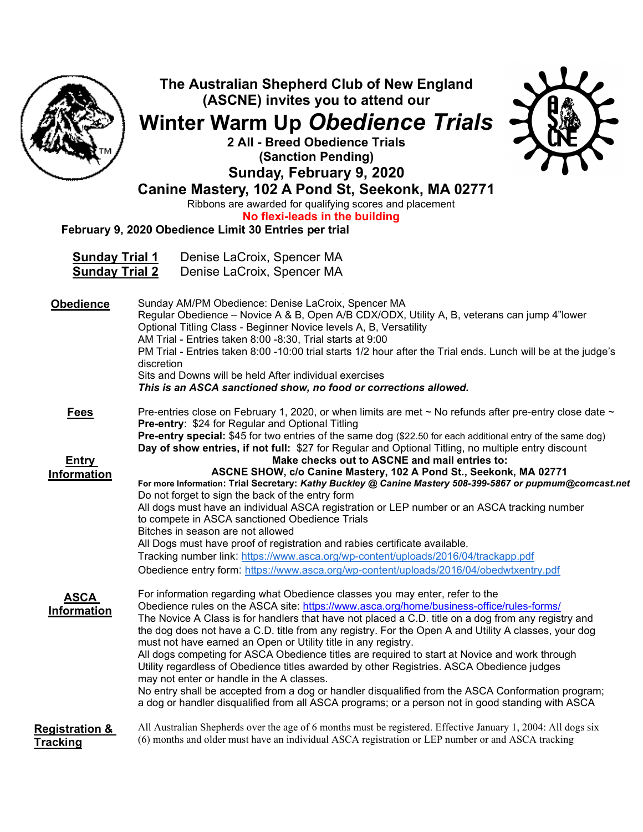|                                                | The Australian Shepherd Club of New England<br>(ASCNE) invites you to attend our<br><b>Winter Warm Up Obedience Trials</b><br>2 All - Breed Obedience Trials<br>(Sanction Pending)<br>Sunday, February 9, 2020<br>Canine Mastery, 102 A Pond St, Seekonk, MA 02771<br>Ribbons are awarded for qualifying scores and placement<br>No flexi-leads in the building<br>February 9, 2020 Obedience Limit 30 Entries per trial                                                                                                                                                                                                                                                                                                                                                                                                                                                                                      |
|------------------------------------------------|---------------------------------------------------------------------------------------------------------------------------------------------------------------------------------------------------------------------------------------------------------------------------------------------------------------------------------------------------------------------------------------------------------------------------------------------------------------------------------------------------------------------------------------------------------------------------------------------------------------------------------------------------------------------------------------------------------------------------------------------------------------------------------------------------------------------------------------------------------------------------------------------------------------|
| <b>Sunday Trial 1</b><br><b>Sunday Trial 2</b> | Denise LaCroix, Spencer MA<br>Denise LaCroix, Spencer MA                                                                                                                                                                                                                                                                                                                                                                                                                                                                                                                                                                                                                                                                                                                                                                                                                                                      |
| <b>Obedience</b>                               | Sunday AM/PM Obedience: Denise LaCroix, Spencer MA<br>Regular Obedience - Novice A & B, Open A/B CDX/ODX, Utility A, B, veterans can jump 4"lower<br>Optional Titling Class - Beginner Novice levels A, B, Versatility<br>AM Trial - Entries taken 8:00 -8:30, Trial starts at 9:00<br>PM Trial - Entries taken 8:00 -10:00 trial starts 1/2 hour after the Trial ends. Lunch will be at the judge's<br>discretion<br>Sits and Downs will be held After individual exercises<br>This is an ASCA sanctioned show, no food or corrections allowed.                                                                                                                                                                                                                                                                                                                                                              |
| <b>Fees</b>                                    | Pre-entries close on February 1, 2020, or when limits are met $\sim$ No refunds after pre-entry close date $\sim$<br><b>Pre-entry: \$24 for Regular and Optional Titling</b><br>Pre-entry special: \$45 for two entries of the same dog (\$22.50 for each additional entry of the same dog)<br>Day of show entries, if not full: \$27 for Regular and Optional Titling, no multiple entry discount                                                                                                                                                                                                                                                                                                                                                                                                                                                                                                            |
| <u>Entry</u><br><b>Information</b>             | Make checks out to ASCNE and mail entries to:<br>ASCNE SHOW, c/o Canine Mastery, 102 A Pond St., Seekonk, MA 02771<br>For more Information: Trial Secretary: Kathy Buckley @ Canine Mastery 508-399-5867 or pupmum@comcast.net<br>Do not forget to sign the back of the entry form<br>All dogs must have an individual ASCA registration or LEP number or an ASCA tracking number<br>to compete in ASCA sanctioned Obedience Trials<br>Bitches in season are not allowed<br>All Dogs must have proof of registration and rabies certificate available.<br>Tracking number link: https://www.asca.org/wp-content/uploads/2016/04/trackapp.pdf<br>Obedience entry form: https://www.asca.org/wp-content/uploads/2016/04/obedwtxentry.pdf                                                                                                                                                                        |
| <b>ASCA</b><br><b>Information</b>              | For information regarding what Obedience classes you may enter, refer to the<br>Obedience rules on the ASCA site: https://www.asca.org/home/business-office/rules-forms/<br>The Novice A Class is for handlers that have not placed a C.D. title on a dog from any registry and<br>the dog does not have a C.D. title from any registry. For the Open A and Utility A classes, your dog<br>must not have earned an Open or Utility title in any registry.<br>All dogs competing for ASCA Obedience titles are required to start at Novice and work through<br>Utility regardless of Obedience titles awarded by other Registries. ASCA Obedience judges<br>may not enter or handle in the A classes.<br>No entry shall be accepted from a dog or handler disqualified from the ASCA Conformation program;<br>a dog or handler disqualified from all ASCA programs; or a person not in good standing with ASCA |
| <b>Registration &amp;</b><br><u>Tracking</u>   | All Australian Shepherds over the age of 6 months must be registered. Effective January 1, 2004: All dogs six<br>(6) months and older must have an individual ASCA registration or LEP number or and ASCA tracking                                                                                                                                                                                                                                                                                                                                                                                                                                                                                                                                                                                                                                                                                            |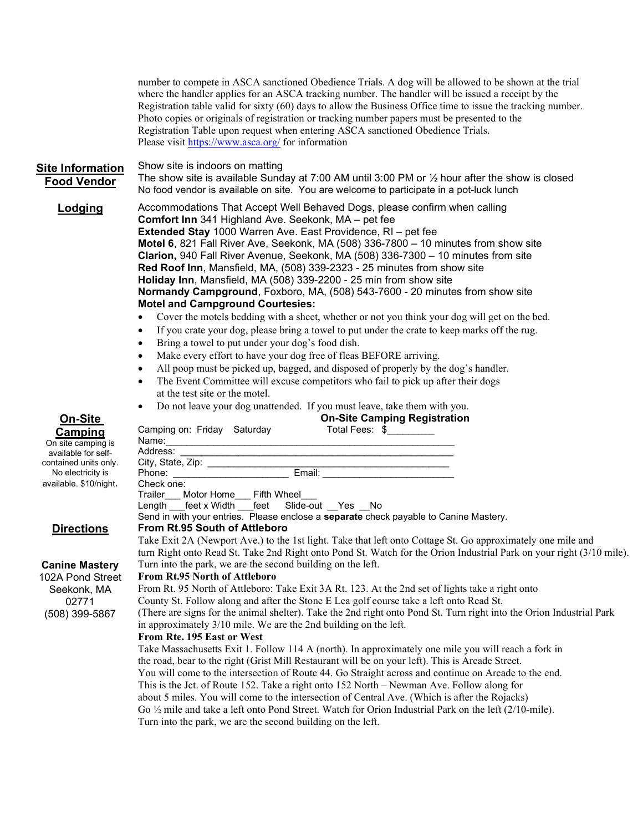number to compete in ASCA sanctioned Obedience Trials. A dog will be allowed to be shown at the trial where the handler applies for an ASCA tracking number. The handler will be issued a receipt by the Registration table valid for sixty (60) days to allow the Business Office time to issue the tracking number. Photo copies or originals of registration or tracking number papers must be presented to the Registration Table upon request when entering ASCA sanctioned Obedience Trials. Please visit https://www.asca.org/ for information

Site Information Show site is indoors on matting

On-Site Camping On site camping

Food Vendor The show site is available Sunday at 7:00 AM until 3:00 PM or  $\frac{1}{2}$  hour after the show is closed No food vendor is available on site. You are welcome to participate in a pot-luck lunch

**Lodging** Accommodations That Accept Well Behaved Dogs, please confirm when calling Comfort Inn 341 Highland Ave. Seekonk, MA – pet fee Extended Stay 1000 Warren Ave. East Providence, RI – pet fee Motel 6, 821 Fall River Ave, Seekonk, MA (508) 336-7800 – 10 minutes from show site Clarion, 940 Fall River Avenue, Seekonk, MA (508) 336-7300 – 10 minutes from site Red Roof Inn, Mansfield, MA, (508) 339-2323 - 25 minutes from show site Holiday Inn, Mansfield, MA (508) 339-2200 - 25 min from show site Normandy Campground, Foxboro, MA, (508) 543-7600 - 20 minutes from show site Motel and Campground Courtesies:

- Cover the motels bedding with a sheet, whether or not you think your dog will get on the bed.
- If you crate your dog, please bring a towel to put under the crate to keep marks off the rug.
- Bring a towel to put under your dog's food dish.
- Make every effort to have your dog free of fleas BEFORE arriving.
- All poop must be picked up, bagged, and disposed of properly by the dog's handler.
- The Event Committee will excuse competitors who fail to pick up after their dogs at the test site or the motel.
- Do not leave your dog unattended. If you must leave, take them with you. oning Baatatustration

| <b>UN-SITE</b>         | Un-Site Camping Registration                                                                                         |
|------------------------|----------------------------------------------------------------------------------------------------------------------|
| <b>Camping</b>         | Camping on: Friday Saturday<br>Total Fees: \$                                                                        |
| On site camping is     |                                                                                                                      |
| available for self-    |                                                                                                                      |
| contained units only.  |                                                                                                                      |
| No electricity is      | Phone: _______________________                                                                                       |
| available. \$10/night. | Check one:                                                                                                           |
|                        | Trailer___ Motor Home___ Fifth Wheel_                                                                                |
|                        | Length feet x Width feet Slide-out Yes No                                                                            |
|                        | Send in with your entries. Please enclose a separate check payable to Canine Mastery.                                |
| <b>Directions</b>      | From Rt.95 South of Attleboro                                                                                        |
|                        | Take Exit 2A (Newport Ave.) to the 1st light. Take that left onto Cottage St. Go approximately one mile and          |
|                        | turn Right onto Read St. Take 2nd Right onto Pond St. Watch for the Orion Industrial Park on your right (3/10 mile). |
| <b>Canine Mastery</b>  | Turn into the park, we are the second building on the left.                                                          |
| 102A Pond Street       | <b>From Rt.95 North of Attleboro</b>                                                                                 |
| Seekonk, MA            | From Rt. 95 North of Attleboro: Take Exit 3A Rt. 123. At the 2nd set of lights take a right onto                     |
| 02771                  | County St. Follow along and after the Stone E Lea golf course take a left onto Read St.                              |
| (508) 399-5867         | (There are signs for the animal shelter). Take the 2nd right onto Pond St. Turn right into the Orion Industrial Park |
|                        | in approximately 3/10 mile. We are the 2nd building on the left.                                                     |
|                        | From Rte. 195 East or West                                                                                           |
|                        | Take Massachusetts Exit 1. Follow 114 A (north). In approximately one mile you will reach a fork in                  |
|                        | the road, bear to the right (Grist Mill Restaurant will be on your left). This is Arcade Street.                     |
|                        | You will come to the intersection of Route 44. Go Straight across and continue on Arcade to the end.                 |
|                        | This is the Jct. of Route 152. Take a right onto 152 North – Newman Ave. Follow along for                            |

about 5 miles. You will come to the intersection of Central Ave. (Which is after the Rojacks)

Go ½ mile and take a left onto Pond Street. Watch for Orion Industrial Park on the left (2/10-mile).

Turn into the park, we are the second building on the left.